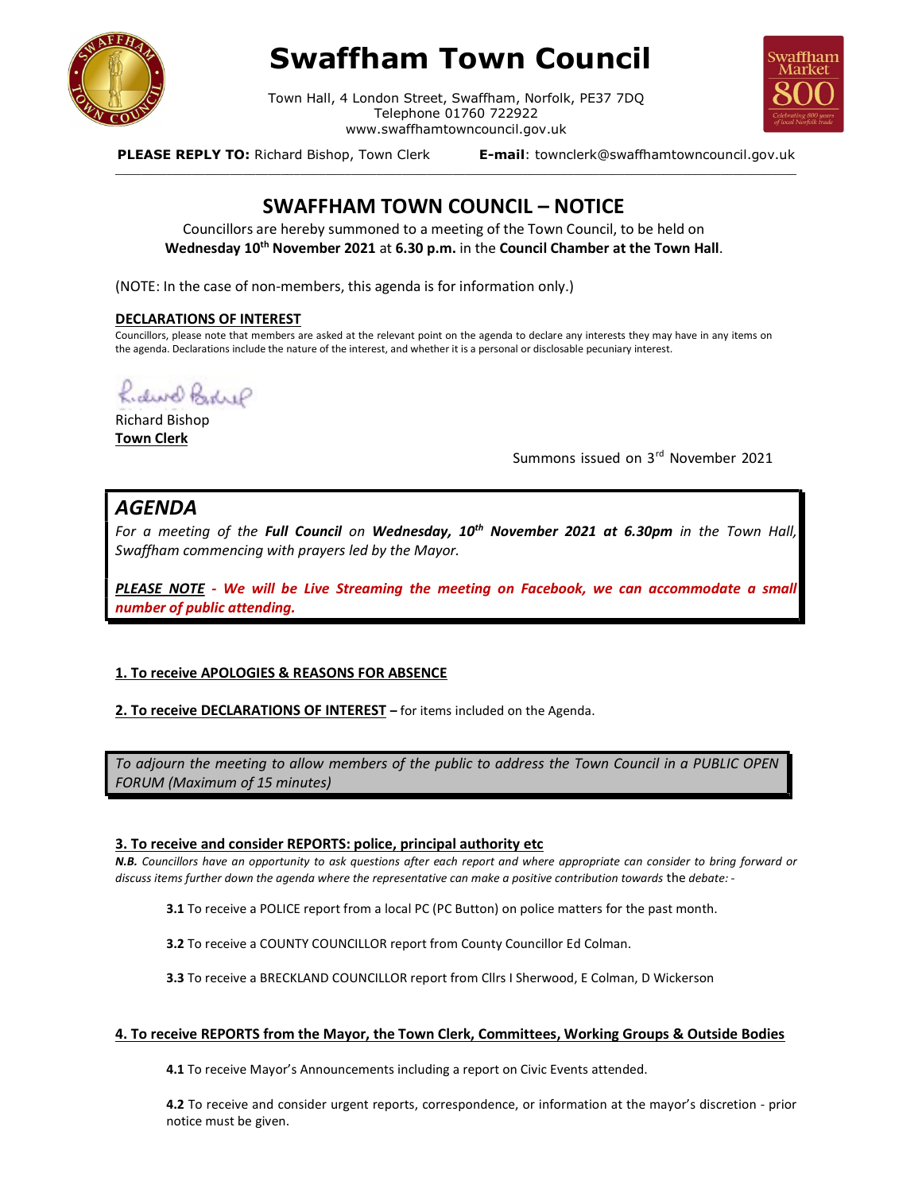

# Swaffham Town Council

Town Hall, 4 London Street, Swaffham, Norfolk, PE37 7DQ Telephone 01760 722922 www.swaffhamtowncouncil.gov.uk<br>p, Town Clerk **E-mail**: townclerk@swaffhamtowncouncil.gov.uk

\_\_\_\_\_\_\_\_\_\_\_\_\_\_\_\_\_\_\_\_\_\_\_\_\_\_\_\_\_\_\_\_\_\_\_\_\_\_\_\_\_\_\_\_\_\_\_\_\_\_\_\_\_\_\_\_\_\_\_\_\_\_\_\_\_\_\_\_\_\_\_\_\_\_\_\_\_\_\_\_\_\_\_\_\_\_\_\_\_\_\_\_\_\_\_\_\_\_\_\_\_\_\_\_\_\_\_



PLEASE REPLY TO: Richard Bishop, Town Clerk

## SWAFFHAM TOWN COUNCIL – NOTICE

Councillors are hereby summoned to a meeting of the Town Council, to be held on Wednesday 10<sup>th</sup> November 2021 at 6.30 p.m. in the Council Chamber at the Town Hall.

(NOTE: In the case of non-members, this agenda is for information only.)

#### DECLARATIONS OF INTEREST

Councillors, please note that members are asked at the relevant point on the agenda to declare any interests they may have in any items on the agenda. Declarations include the nature of the interest, and whether it is a personal or disclosable pecuniary interest.

Rider Bedrif

Richard Bishop Town Clerk

Summons issued on 3<sup>rd</sup> November 2021

## AGENDA

For a meeting of the Full Council on Wednesday, 10<sup>th</sup> November 2021 at 6.30pm in the Town Hall, Swaffham commencing with prayers led by the Mayor.

PLEASE NOTE - We will be Live Streaming the meeting on Facebook, we can accommodate a small number of public attending.

#### 1. To receive APOLOGIES & REASONS FOR ABSENCE

2. To receive DECLARATIONS OF INTEREST – for items included on the Agenda.

To adjourn the meeting to allow members of the public to address the Town Council in a PUBLIC OPEN FORUM (Maximum of 15 minutes)

#### 3. To receive and consider REPORTS: police, principal authority etc

N.B. Councillors have an opportunity to ask questions after each report and where appropriate can consider to bring forward or discuss items further down the agenda where the representative can make a positive contribution towards the debate: -

3.1 To receive a POLICE report from a local PC (PC Button) on police matters for the past month.

3.2 To receive a COUNTY COUNCILLOR report from County Councillor Ed Colman.

3.3 To receive a BRECKLAND COUNCILLOR report from Cllrs I Sherwood, E Colman, D Wickerson

#### 4. To receive REPORTS from the Mayor, the Town Clerk, Committees, Working Groups & Outside Bodies

4.1 To receive Mayor's Announcements including a report on Civic Events attended.

4.2 To receive and consider urgent reports, correspondence, or information at the mayor's discretion - prior notice must be given.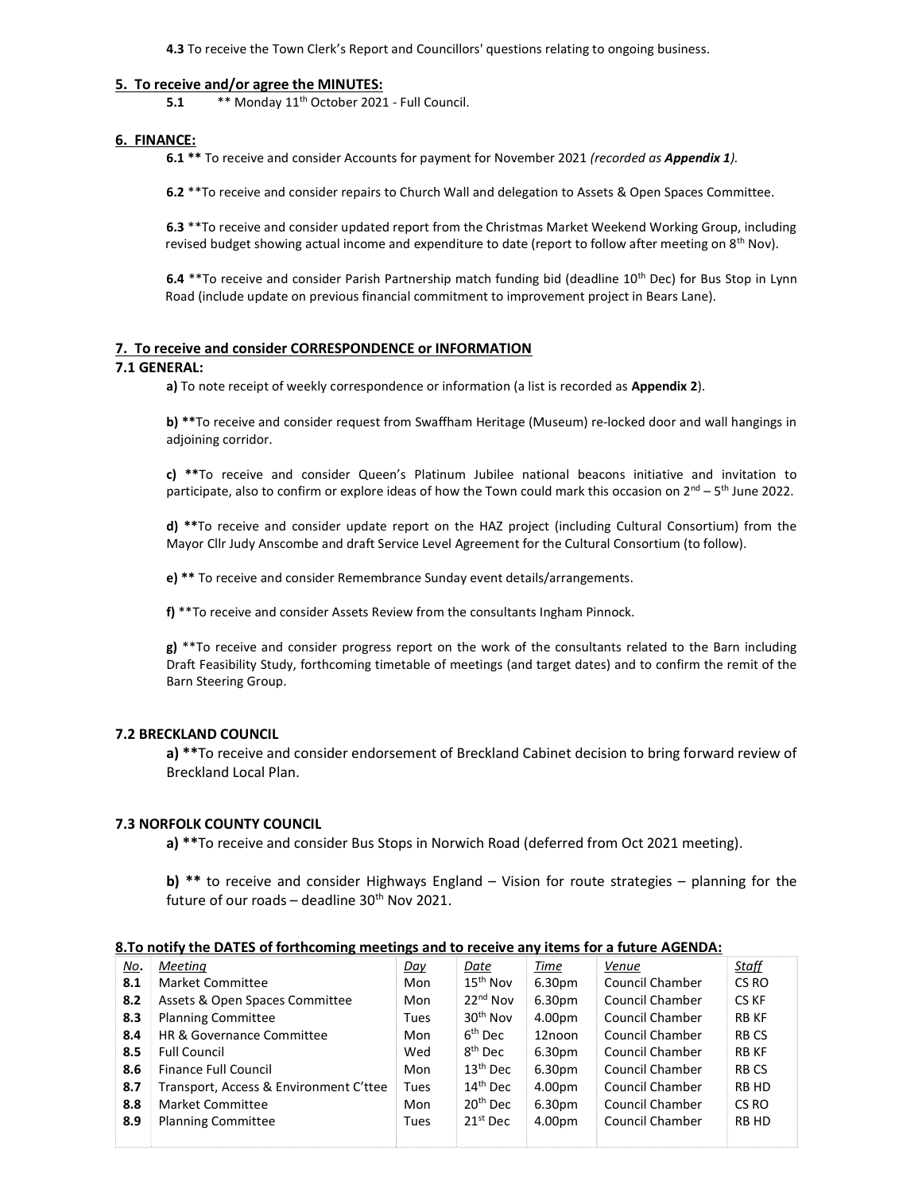4.3 To receive the Town Clerk's Report and Councillors' questions relating to ongoing business.

#### 5. To receive and/or agree the MINUTES:

5.1  $***$  Monday 11<sup>th</sup> October 2021 - Full Council.

#### 6. FINANCE:

6.1 \*\* To receive and consider Accounts for payment for November 2021 (recorded as Appendix 1).

6.2 \*\*To receive and consider repairs to Church Wall and delegation to Assets & Open Spaces Committee.

6.3 \*\*To receive and consider updated report from the Christmas Market Weekend Working Group, including revised budget showing actual income and expenditure to date (report to follow after meeting on 8<sup>th</sup> Nov).

6.4 \*\* To receive and consider Parish Partnership match funding bid (deadline 10<sup>th</sup> Dec) for Bus Stop in Lynn Road (include update on previous financial commitment to improvement project in Bears Lane).

#### 7. To receive and consider CORRESPONDENCE or INFORMATION

#### 7.1 GENERAL:

a) To note receipt of weekly correspondence or information (a list is recorded as Appendix 2).

b) \*\*To receive and consider request from Swaffham Heritage (Museum) re-locked door and wall hangings in adjoining corridor.

c) \*\*To receive and consider Queen's Platinum Jubilee national beacons initiative and invitation to participate, also to confirm or explore ideas of how the Town could mark this occasion on  $2^{nd}$  – 5<sup>th</sup> June 2022.

d) \*\*To receive and consider update report on the HAZ project (including Cultural Consortium) from the Mayor Cllr Judy Anscombe and draft Service Level Agreement for the Cultural Consortium (to follow).

e) \*\* To receive and consider Remembrance Sunday event details/arrangements.

f) \*\*To receive and consider Assets Review from the consultants Ingham Pinnock.

g) \*\*To receive and consider progress report on the work of the consultants related to the Barn including Draft Feasibility Study, forthcoming timetable of meetings (and target dates) and to confirm the remit of the Barn Steering Group.

#### 7.2 BRECKLAND COUNCIL

a) \*\*To receive and consider endorsement of Breckland Cabinet decision to bring forward review of Breckland Local Plan.

#### 7.3 NORFOLK COUNTY COUNCIL

a) \*\*To receive and consider Bus Stops in Norwich Road (deferred from Oct 2021 meeting).

b)  $**$  to receive and consider Highways England – Vision for route strategies – planning for the future of our roads – deadline  $30<sup>th</sup>$  Nov 2021.

#### 8.To notify the DATES of forthcoming meetings and to receive any items for a future AGENDA:

| No. | Meeting                                | Day  | Date                 | Time   | Venue                  | <u>Staff</u> |
|-----|----------------------------------------|------|----------------------|--------|------------------------|--------------|
| 8.1 | Market Committee                       | Mon  | $15^{\text{th}}$ Nov | 6.30pm | <b>Council Chamber</b> | CS RO        |
| 8.2 | Assets & Open Spaces Committee         | Mon  | $22nd$ Nov           | 6.30pm | Council Chamber        | CS KF        |
| 8.3 | <b>Planning Committee</b>              | Tues | $30th$ Nov           | 4.00pm | Council Chamber        | <b>RB KF</b> |
| 8.4 | HR & Governance Committee              | Mon  | 6 <sup>th</sup> Dec  | 12noon | <b>Council Chamber</b> | <b>RBCS</b>  |
| 8.5 | <b>Full Council</b>                    | Wed  | 8 <sup>th</sup> Dec  | 6.30pm | Council Chamber        | <b>RB KF</b> |
| 8.6 | Finance Full Council                   | Mon  | $13th$ Dec           | 6.30pm | Council Chamber        | <b>RBCS</b>  |
| 8.7 | Transport, Access & Environment C'ttee | Tues | $14th$ Dec           | 4.00pm | Council Chamber        | RB HD        |
| 8.8 | <b>Market Committee</b>                | Mon  | $20th$ Dec           | 6.30pm | <b>Council Chamber</b> | CS RO        |
| 8.9 | <b>Planning Committee</b>              | Tues | $21st$ Dec           | 4.00pm | Council Chamber        | RB HD        |
|     |                                        |      |                      |        |                        |              |